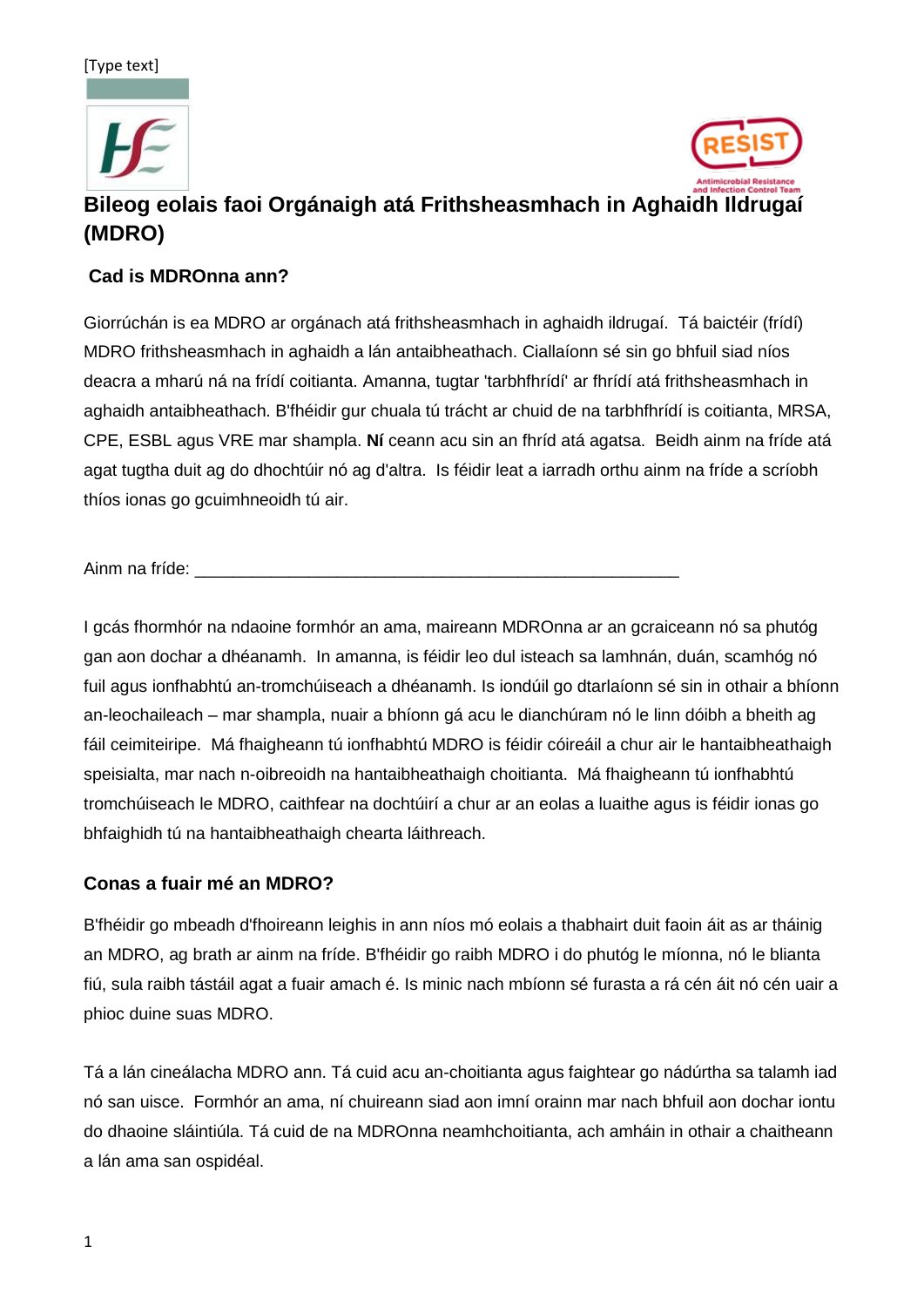[Type text]





# **Bileog eolais faoi Orgánaigh atá Frithsheasmhach in Aghaidh Ildrugaí (MDRO)**

#### **Cad is MDROnna ann?**

Giorrúchán is ea MDRO ar orgánach atá frithsheasmhach in aghaidh ildrugaí. Tá baictéir (frídí) MDRO frithsheasmhach in aghaidh a lán antaibheathach. Ciallaíonn sé sin go bhfuil siad níos deacra a mharú ná na frídí coitianta. Amanna, tugtar 'tarbhfhrídí' ar fhrídí atá frithsheasmhach in aghaidh antaibheathach. B'fhéidir gur chuala tú trácht ar chuid de na tarbhfhrídí is coitianta, MRSA, CPE, ESBL agus VRE mar shampla. **Ní** ceann acu sin an fhríd atá agatsa. Beidh ainm na fríde atá agat tugtha duit ag do dhochtúir nó ag d'altra. Is féidir leat a iarradh orthu ainm na fríde a scríobh thíos ionas go gcuimhneoidh tú air.

Ainm na fríde:

I gcás fhormhór na ndaoine formhór an ama, maireann MDROnna ar an gcraiceann nó sa phutóg gan aon dochar a dhéanamh. In amanna, is féidir leo dul isteach sa lamhnán, duán, scamhóg nó fuil agus ionfhabhtú an-tromchúiseach a dhéanamh. Is iondúil go dtarlaíonn sé sin in othair a bhíonn an-leochaileach – mar shampla, nuair a bhíonn gá acu le dianchúram nó le linn dóibh a bheith ag fáil ceimiteiripe. Má fhaigheann tú ionfhabhtú MDRO is féidir cóireáil a chur air le hantaibheathaigh speisialta, mar nach n-oibreoidh na hantaibheathaigh choitianta. Má fhaigheann tú ionfhabhtú tromchúiseach le MDRO, caithfear na dochtúirí a chur ar an eolas a luaithe agus is féidir ionas go bhfaighidh tú na hantaibheathaigh chearta láithreach.

#### **Conas a fuair mé an MDRO?**

B'fhéidir go mbeadh d'fhoireann leighis in ann níos mó eolais a thabhairt duit faoin áit as ar tháinig an MDRO, ag brath ar ainm na fríde. B'fhéidir go raibh MDRO i do phutóg le míonna, nó le blianta fiú, sula raibh tástáil agat a fuair amach é. Is minic nach mbíonn sé furasta a rá cén áit nó cén uair a phioc duine suas MDRO.

Tá a lán cineálacha MDRO ann. Tá cuid acu an-choitianta agus faightear go nádúrtha sa talamh iad nó san uisce. Formhór an ama, ní chuireann siad aon imní orainn mar nach bhfuil aon dochar iontu do dhaoine sláintiúla. Tá cuid de na MDROnna neamhchoitianta, ach amháin in othair a chaitheann a lán ama san ospidéal.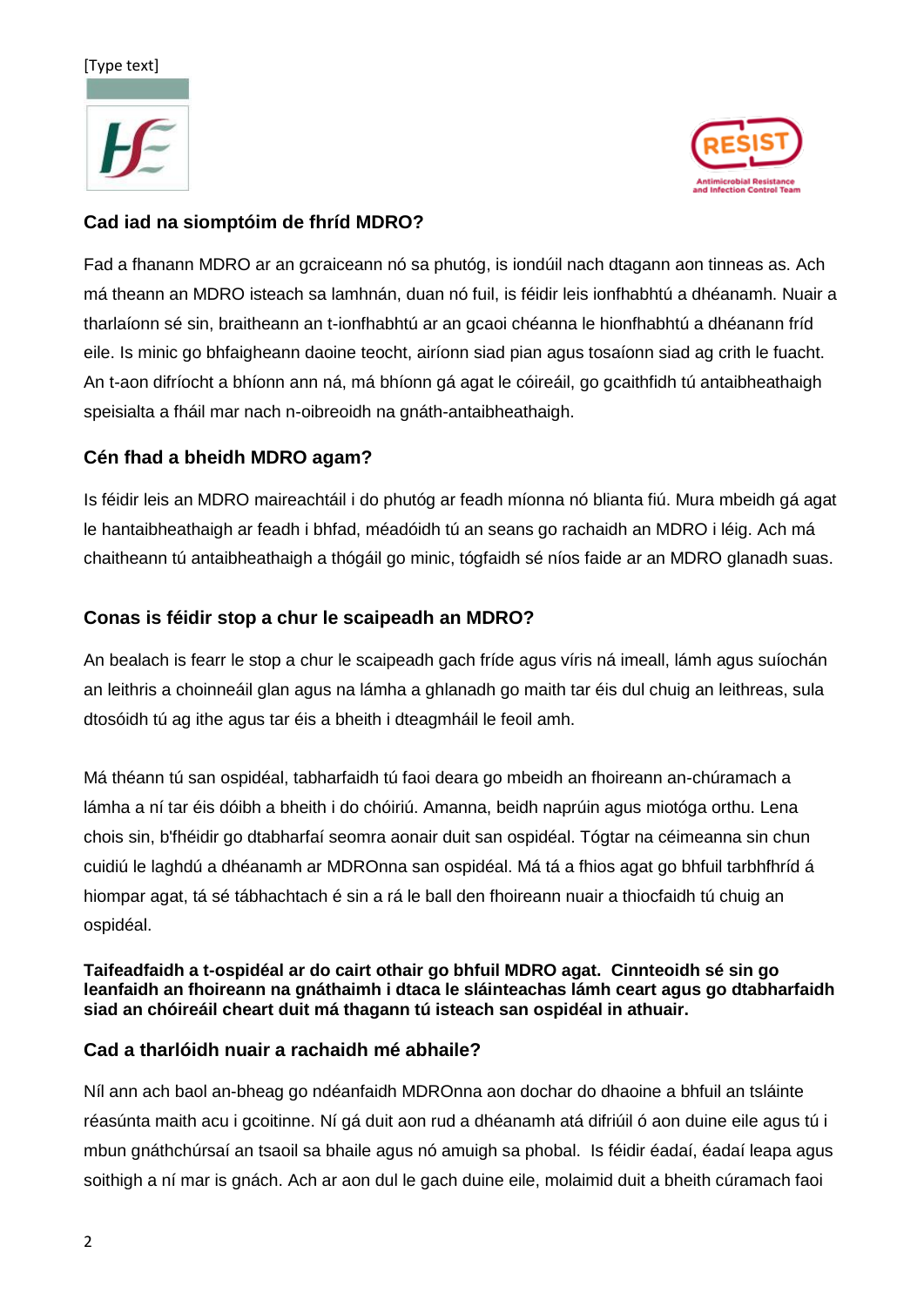#### [Type text]





## **Cad iad na siomptóim de fhríd MDRO?**

Fad a fhanann MDRO ar an gcraiceann nó sa phutóg, is iondúil nach dtagann aon tinneas as. Ach má theann an MDRO isteach sa lamhnán, duan nó fuil, is féidir leis ionfhabhtú a dhéanamh. Nuair a tharlaíonn sé sin, braitheann an t-ionfhabhtú ar an gcaoi chéanna le hionfhabhtú a dhéanann fríd eile. Is minic go bhfaigheann daoine teocht, airíonn siad pian agus tosaíonn siad ag crith le fuacht. An t-aon difríocht a bhíonn ann ná, má bhíonn gá agat le cóireáil, go gcaithfidh tú antaibheathaigh speisialta a fháil mar nach n-oibreoidh na gnáth-antaibheathaigh.

## **Cén fhad a bheidh MDRO agam?**

Is féidir leis an MDRO maireachtáil i do phutóg ar feadh míonna nó blianta fiú. Mura mbeidh gá agat le hantaibheathaigh ar feadh i bhfad, méadóidh tú an seans go rachaidh an MDRO i léig. Ach má chaitheann tú antaibheathaigh a thógáil go minic, tógfaidh sé níos faide ar an MDRO glanadh suas.

## **Conas is féidir stop a chur le scaipeadh an MDRO?**

An bealach is fearr le stop a chur le scaipeadh gach fríde agus víris ná imeall, lámh agus suíochán an leithris a choinneáil glan agus na lámha a ghlanadh go maith tar éis dul chuig an leithreas, sula dtosóidh tú ag ithe agus tar éis a bheith i dteagmháil le feoil amh.

Má théann tú san ospidéal, tabharfaidh tú faoi deara go mbeidh an fhoireann an-chúramach a lámha a ní tar éis dóibh a bheith i do chóiriú. Amanna, beidh naprúin agus miotóga orthu. Lena chois sin, b'fhéidir go dtabharfaí seomra aonair duit san ospidéal. Tógtar na céimeanna sin chun cuidiú le laghdú a dhéanamh ar MDROnna san ospidéal. Má tá a fhios agat go bhfuil tarbhfhríd á hiompar agat, tá sé tábhachtach é sin a rá le ball den fhoireann nuair a thiocfaidh tú chuig an ospidéal.

**Taifeadfaidh a t-ospidéal ar do cairt othair go bhfuil MDRO agat. Cinnteoidh sé sin go leanfaidh an fhoireann na gnáthaimh i dtaca le sláinteachas lámh ceart agus go dtabharfaidh siad an chóireáil cheart duit má thagann tú isteach san ospidéal in athuair.** 

## **Cad a tharlóidh nuair a rachaidh mé abhaile?**

Níl ann ach baol an-bheag go ndéanfaidh MDROnna aon dochar do dhaoine a bhfuil an tsláinte réasúnta maith acu i gcoitinne. Ní gá duit aon rud a dhéanamh atá difriúil ó aon duine eile agus tú i mbun gnáthchúrsaí an tsaoil sa bhaile agus nó amuigh sa phobal. Is féidir éadaí, éadaí leapa agus soithigh a ní mar is gnách. Ach ar aon dul le gach duine eile, molaimid duit a bheith cúramach faoi